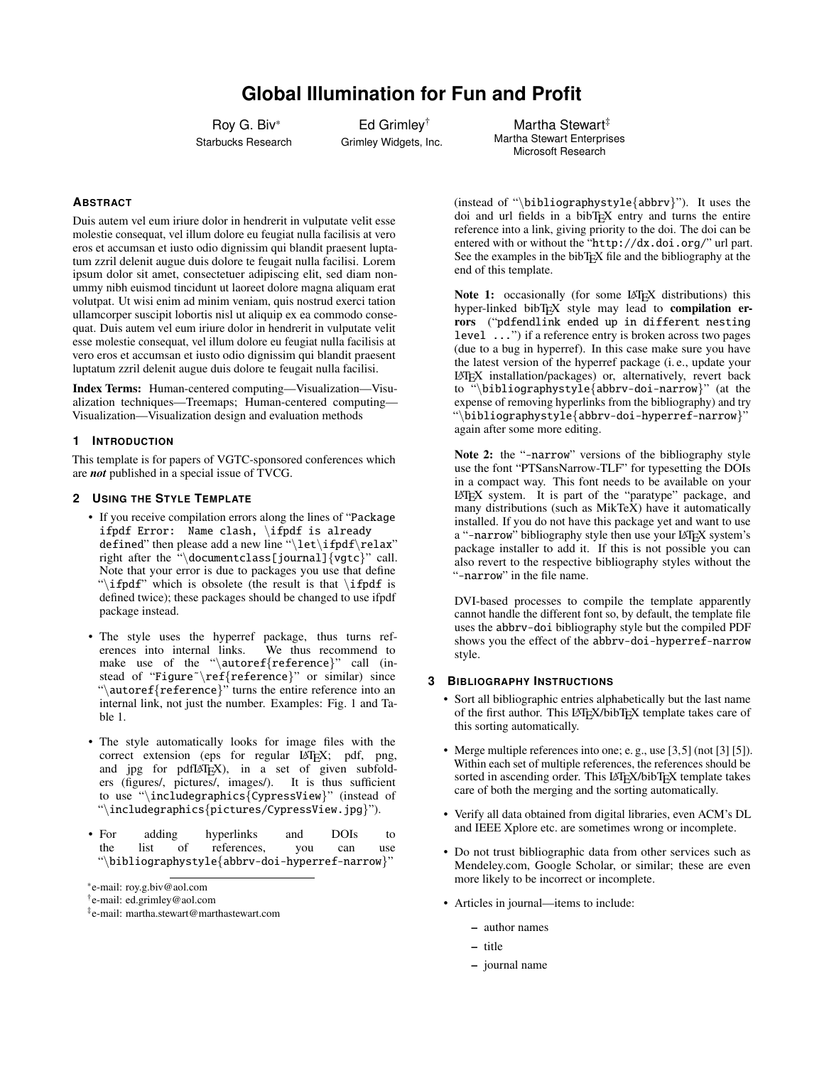# **Global Illumination for Fun and Profit**

Roy G. Biv\* Starbucks Research

Ed Grimley† Grimley Widgets, Inc.

Martha Stewart<sup>#</sup> Martha Stewart Enterprises Microsoft Research

# **ABSTRACT**

Duis autem vel eum iriure dolor in hendrerit in vulputate velit esse molestie consequat, vel illum dolore eu feugiat nulla facilisis at vero eros et accumsan et iusto odio dignissim qui blandit praesent luptatum zzril delenit augue duis dolore te feugait nulla facilisi. Lorem ipsum dolor sit amet, consectetuer adipiscing elit, sed diam nonummy nibh euismod tincidunt ut laoreet dolore magna aliquam erat volutpat. Ut wisi enim ad minim veniam, quis nostrud exerci tation ullamcorper suscipit lobortis nisl ut aliquip ex ea commodo consequat. Duis autem vel eum iriure dolor in hendrerit in vulputate velit esse molestie consequat, vel illum dolore eu feugiat nulla facilisis at vero eros et accumsan et iusto odio dignissim qui blandit praesent luptatum zzril delenit augue duis dolore te feugait nulla facilisi.

Index Terms: Human-centered computing—Visualization—Visualization techniques—Treemaps; Human-centered computing— Visualization—Visualization design and evaluation methods

## **1 INTRODUCTION**

This template is for papers of VGTC-sponsored conferences which are *not* published in a special issue of TVCG.

## **2 USING THE STYLE TEMPLATE**

- If you receive compilation errors along the lines of "Package ifpdf Error: Name clash, \ifpdf is already defined" then please add a new line "\let\ifpdf\relax" right after the "\documentclass[journal]{vgtc}" call. Note that your error is due to packages you use that define "\ifpdf" which is obsolete (the result is that \ifpdf is defined twice); these packages should be changed to use ifpdf package instead.
- The style uses the hyperref package, thus turns ref-<br>erences into internal links. We thus recommend to erences into internal links. make use of the "\autoref{reference}" call (instead of "Figure"\ref{reference}" or similar) since "\autoref{reference}" turns the entire reference into an internal link, not just the number. Examples: [Fig. 1](#page-2-0) and [Ta](#page-2-1)[ble 1.](#page-2-1)
- The style automatically looks for image files with the correct extension (eps for regular LATEX; pdf, png, and jpg for pdfLATEX), in a set of given subfolders (figures/, pictures/, images/). It is thus sufficient to use "\includegraphics{CypressView}" (instead of "\includegraphics{pictures/CypressView.jpg}").
- For adding hyperlinks and DOIs to the list of references, you can use "\bibliographystyle{abbrv-doi-hyperref-narrow}"

(instead of "\bibliographystyle{abbrv}"). It uses the doi and url fields in a bibTEX entry and turns the entire reference into a link, giving priority to the doi. The doi can be entered with or without the "http://dx.doi.org/" url part. See the examples in the bibT<sub>E</sub>X file and the bibliography at the end of this template.

Note 1: occasionally (for some LATEX distributions) this hyper-linked bibTEX style may lead to compilation errors ("pdfendlink ended up in different nesting level ...") if a reference entry is broken across two pages (due to a bug in hyperref). In this case make sure you have the latest version of the hyperref package (i. e., update your LATEX installation/packages) or, alternatively, revert back to "\bibliographystyle{abbrv-doi-narrow}" (at the expense of removing hyperlinks from the bibliography) and try "\bibliographystyle{abbrv-doi-hyperref-narrow}" again after some more editing.

Note 2: the "-narrow" versions of the bibliography style use the font "PTSansNarrow-TLF" for typesetting the DOIs in a compact way. This font needs to be available on your LATEX system. It is part of the ["paratype" package,](https://www.ctan.org/pkg/paratype) and many distributions (such as MikTeX) have it automatically installed. If you do not have this package yet and want to use a "-narrow" bibliography style then use your LAT<sub>E</sub>X system's package installer to add it. If this is not possible you can also revert to the respective bibliography styles without the "-narrow" in the file name.

DVI-based processes to compile the template apparently cannot handle the different font so, by default, the template file uses the abbrv-doi bibliography style but the compiled PDF shows you the effect of the abbrv-doi-hyperref-narrow style.

## **3 BIBLIOGRAPHY INSTRUCTIONS**

- Sort all bibliographic entries alphabetically but the last name of the first author. This LATEX/bibTEX template takes care of this sorting automatically.
- Merge multiple references into one; e.g., use [\[3,](#page-2-2)[5\]](#page-2-3) (not [\[3\]](#page-2-2) [\[5\]](#page-2-3)). Within each set of multiple references, the references should be sorted in ascending order. This LAT<sub>E</sub>X/bibT<sub>E</sub>X template takes care of both the merging and the sorting automatically.
- Verify all data obtained from digital libraries, even ACM's DL and IEEE Xplore etc. are sometimes wrong or incomplete.
- Do not trust bibliographic data from other services such as Mendeley.com, Google Scholar, or similar; these are even more likely to be incorrect or incomplete.
- Articles in journal—items to include:
	- author names
	- title
	- journal name

<sup>\*</sup>e-mail: roy.g.biv@aol.com

<sup>†</sup> e-mail: ed.grimley@aol.com

<sup>‡</sup> e-mail: martha.stewart@marthastewart.com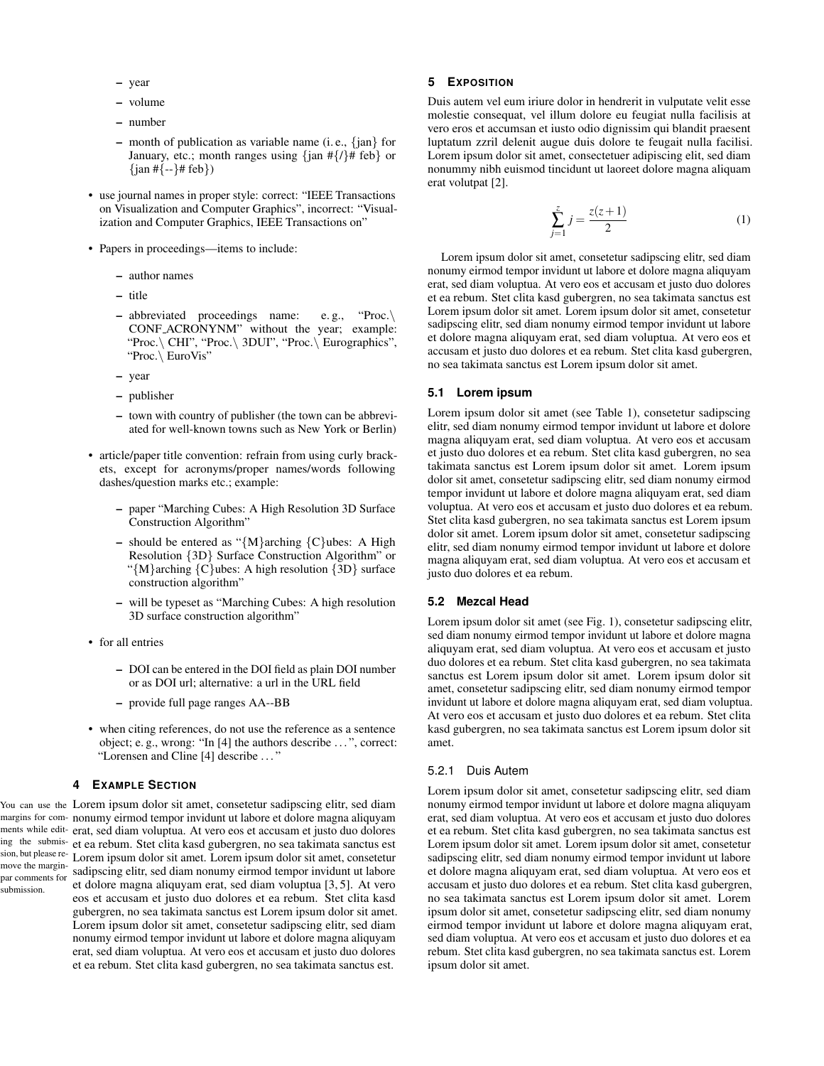- year
- volume
- number
- month of publication as variable name (i. e., {jan} for January, etc.; month ranges using  $\{\text{jan } #\{\text{/}\}\text{/}\# \text{ feb}\}\$  or  $\{\tan\#(-\} \# \text{ feb}\})$
- use journal names in proper style: correct: "IEEE Transactions on Visualization and Computer Graphics", incorrect: "Visualization and Computer Graphics, IEEE Transactions on"
- Papers in proceedings—items to include:
	- author names
	- title
	- abbreviated proceedings name: e. g., "Proc.\ CONF ACRONYNM" without the year; example: "Proc.\ CHI", "Proc.\ 3DUI", "Proc.\ Eurographics", "Proc.\ EuroVis"
	- year
	- publisher
	- town with country of publisher (the town can be abbreviated for well-known towns such as New York or Berlin)
- article/paper title convention: refrain from using curly brackets, except for acronyms/proper names/words following dashes/question marks etc.; example:
	- paper "Marching Cubes: A High Resolution 3D Surface Construction Algorithm"
	- should be entered as " ${M}$ arching  ${C}$ ubes: A High Resolution {3D} Surface Construction Algorithm" or "{M}arching {C}ubes: A high resolution {3D} surface construction algorithm"
	- will be typeset as "Marching Cubes: A high resolution 3D surface construction algorithm"
- for all entries
	- DOI can be entered in the DOI field as plain DOI number or as DOI url; alternative: a url in the URL field
	- provide full page ranges AA--BB
- when citing references, do not use the reference as a sentence object; e. g., wrong: "In [\[4\]](#page-2-4) the authors describe . . . ", correct: "Lorensen and Cline [\[4\]](#page-2-4) describe . . . "

# **4 EXAMPLE SECTION**

You can use the Lorem ipsum dolor sit amet, consetetur sadipscing elitr, sed diam margins for com-nonumy eirmod tempor invidunt ut labore et dolore magna aliquyam ments while edit-erat, sed diam voluptua. At vero eos et accusam et justo duo dolores ing the submis-et ea rebum. Stet clita kasd gubergren, no sea takimata sanctus est sion, but please remove the marginpar comments for submission. Lorem ipsum dolor sit amet. Lorem ipsum dolor sit amet, consetetur sadipscing elitr, sed diam nonumy eirmod tempor invidunt ut labore et dolore magna aliquyam erat, sed diam voluptua [\[3,](#page-2-2) [5\]](#page-2-3). At vero eos et accusam et justo duo dolores et ea rebum. Stet clita kasd gubergren, no sea takimata sanctus est Lorem ipsum dolor sit amet. Lorem ipsum dolor sit amet, consetetur sadipscing elitr, sed diam nonumy eirmod tempor invidunt ut labore et dolore magna aliquyam erat, sed diam voluptua. At vero eos et accusam et justo duo dolores et ea rebum. Stet clita kasd gubergren, no sea takimata sanctus est.

## **5 EXPOSITION**

Duis autem vel eum iriure dolor in hendrerit in vulputate velit esse molestie consequat, vel illum dolore eu feugiat nulla facilisis at vero eros et accumsan et iusto odio dignissim qui blandit praesent luptatum zzril delenit augue duis dolore te feugait nulla facilisi. Lorem ipsum dolor sit amet, consectetuer adipiscing elit, sed diam nonummy nibh euismod tincidunt ut laoreet dolore magna aliquam erat volutpat [\[2\]](#page-2-5).

$$
\sum_{j=1}^{z} j = \frac{z(z+1)}{2} \tag{1}
$$

Lorem ipsum dolor sit amet, consetetur sadipscing elitr, sed diam nonumy eirmod tempor invidunt ut labore et dolore magna aliquyam erat, sed diam voluptua. At vero eos et accusam et justo duo dolores et ea rebum. Stet clita kasd gubergren, no sea takimata sanctus est Lorem ipsum dolor sit amet. Lorem ipsum dolor sit amet, consetetur sadipscing elitr, sed diam nonumy eirmod tempor invidunt ut labore et dolore magna aliquyam erat, sed diam voluptua. At vero eos et accusam et justo duo dolores et ea rebum. Stet clita kasd gubergren, no sea takimata sanctus est Lorem ipsum dolor sit amet.

#### **5.1 Lorem ipsum**

Lorem ipsum dolor sit amet (see [Table 1\)](#page-2-1), consetetur sadipscing elitr, sed diam nonumy eirmod tempor invidunt ut labore et dolore magna aliquyam erat, sed diam voluptua. At vero eos et accusam et justo duo dolores et ea rebum. Stet clita kasd gubergren, no sea takimata sanctus est Lorem ipsum dolor sit amet. Lorem ipsum dolor sit amet, consetetur sadipscing elitr, sed diam nonumy eirmod tempor invidunt ut labore et dolore magna aliquyam erat, sed diam voluptua. At vero eos et accusam et justo duo dolores et ea rebum. Stet clita kasd gubergren, no sea takimata sanctus est Lorem ipsum dolor sit amet. Lorem ipsum dolor sit amet, consetetur sadipscing elitr, sed diam nonumy eirmod tempor invidunt ut labore et dolore magna aliquyam erat, sed diam voluptua. At vero eos et accusam et justo duo dolores et ea rebum.

## **5.2 Mezcal Head**

Lorem ipsum dolor sit amet (see [Fig. 1\)](#page-2-0), consetetur sadipscing elitr, sed diam nonumy eirmod tempor invidunt ut labore et dolore magna aliquyam erat, sed diam voluptua. At vero eos et accusam et justo duo dolores et ea rebum. Stet clita kasd gubergren, no sea takimata sanctus est Lorem ipsum dolor sit amet. Lorem ipsum dolor sit amet, consetetur sadipscing elitr, sed diam nonumy eirmod tempor invidunt ut labore et dolore magna aliquyam erat, sed diam voluptua. At vero eos et accusam et justo duo dolores et ea rebum. Stet clita kasd gubergren, no sea takimata sanctus est Lorem ipsum dolor sit amet.

#### 5.2.1 Duis Autem

Lorem ipsum dolor sit amet, consetetur sadipscing elitr, sed diam nonumy eirmod tempor invidunt ut labore et dolore magna aliquyam erat, sed diam voluptua. At vero eos et accusam et justo duo dolores et ea rebum. Stet clita kasd gubergren, no sea takimata sanctus est Lorem ipsum dolor sit amet. Lorem ipsum dolor sit amet, consetetur sadipscing elitr, sed diam nonumy eirmod tempor invidunt ut labore et dolore magna aliquyam erat, sed diam voluptua. At vero eos et accusam et justo duo dolores et ea rebum. Stet clita kasd gubergren, no sea takimata sanctus est Lorem ipsum dolor sit amet. Lorem ipsum dolor sit amet, consetetur sadipscing elitr, sed diam nonumy eirmod tempor invidunt ut labore et dolore magna aliquyam erat, sed diam voluptua. At vero eos et accusam et justo duo dolores et ea rebum. Stet clita kasd gubergren, no sea takimata sanctus est. Lorem ipsum dolor sit amet.